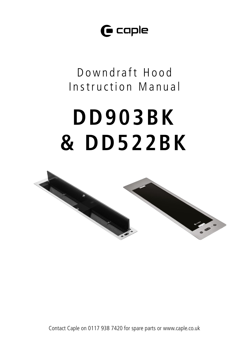$\mathbf \Theta$  caple

Downdraft Hood Instruction Manual

# **DD903BK & DD522BK**



Contact Caple on 0117 938 7420 for spare parts or www.caple.co.uk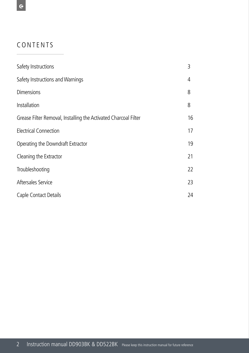# CONTENTS

| Safety Instructions                                             | 3  |
|-----------------------------------------------------------------|----|
| Safety Instructions and Warnings                                | 4  |
| <b>Dimensions</b>                                               | 8  |
| Installation                                                    | 8  |
| Grease Filter Removal, Installing the Activated Charcoal Filter | 16 |
| Electrical Connection                                           | 17 |
| Operating the Downdraft Extractor                               | 19 |
| Cleaning the Extractor                                          | 21 |
| Troubleshooting                                                 | 22 |
| Aftersales Service                                              | 23 |
| Caple Contact Details                                           | 24 |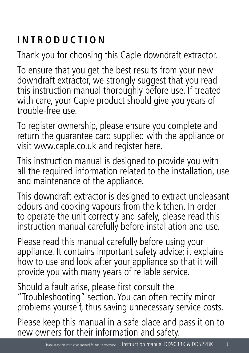# **INTRODUCTION**

Thank you for choosing this Caple downdraft extractor.

To ensure that you get the best results from your new downdraft extractor, we strongly suggest that you read this instruction manual thoroughly before use. If treated with care, your Caple product should give you years of trouble-free use.

To register ownership, please ensure you complete and return the guarantee card supplied with the appliance or visit www.caple.co.uk and register here.

This instruction manual is designed to provide you with all the required information related to the installation, use and maintenance of the appliance.

This downdraft extractor is designed to extract unpleasant odours and cooking vapours from the kitchen. In order to operate the unit correctly and safely, please read this instruction manual carefully before installation and use.

Please read this manual carefully before using your appliance. It contains important safety advice; it explains how to use and look after your appliance so that it will provide you with many years of reliable service.

Should a fault arise, please first consult the "Troubleshooting" section. You can often rectify minor problems yourself, thus saving unnecessary service costs.

Please keep this manual in a safe place and pass it on to new owners for their information and safety.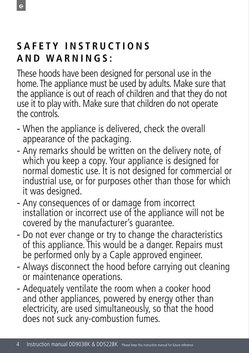# **S A F E T Y I N S T R U C T I O N S AND WARNINGS:**

These hoods have been designed for personal use in the home. The appliance must be used by adults. Make sure that the appliance is out of reach of children and that they do not use it to play with. Make sure that children do not operate the controls.

- When the appliance is delivered, check the overall appearance of the packaging.
- Any remarks should be written on the delivery note, of which you keep a copy. Your appliance is designed for normal domestic use. It is not designed for commercial or industrial use, or for purposes other than those for which it was designed.
- Any consequences of or damage from incorrect installation or incorrect use of the appliance will not be covered by the manufacturer's guarantee.
- Do not ever change or try to change the characteristics of this appliance. This would be a danger. Repairs must be performed only by a Caple approved engineer.
- Always disconnect the hood before carrying out cleaning or maintenance operations.
- Adequately ventilate the room when a cooker hood and other appliances, powered by energy other than electricity, are used simultaneously, so that the hood does not suck any-combustion fumes.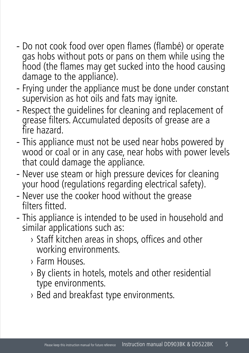- Do not cook food over open flames (flambé) or operate gas hobs without pots or pans on them while using the hood (the flames may get sucked into the hood causing damage to the appliance).
- Frying under the appliance must be done under constant supervision as hot oils and fats may ignite.
- Respect the guidelines for cleaning and replacement of grease filters. Accumulated deposits of grease are a fire hazard.
- This appliance must not be used near hobs powered by wood or coal or in any case, near hobs with power levels that could damage the appliance.
- Never use steam or high pressure devices for cleaning your hood (regulations regarding electrical safety).
- Never use the cooker hood without the grease filters fitted.
- This appliance is intended to be used in household and similar applications such as:
	- › Staff kitchen areas in shops, offices and other working environments.
	- › Farm Houses.
	- › By clients in hotels, motels and other residential type environments.
	- › Bed and breakfast type environments.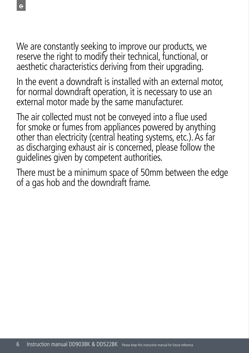We are constantly seeking to improve our products, we reserve the right to modify their technical, functional, or aesthetic characteristics deriving from their upgrading.

In the event a downdraft is installed with an external motor, for normal downdraft operation, it is necessary to use an external motor made by the same manufacturer.

The air collected must not be conveyed into a flue used for smoke or fumes from appliances powered by anything other than electricity (central heating systems, etc.). As far as discharging exhaust air is concerned, please follow the guidelines given by competent authorities.

There must be a minimum space of 50mm between the edge of a gas hob and the downdraft frame.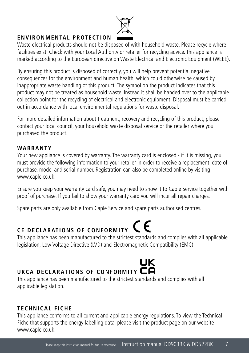

#### **ENVIRONMENTAL PROTECTION**

Waste electrical products should not be disposed of with household waste. Please recycle where facilities exist. Check with your Local Authority or retailer for recycling advice. This appliance is marked according to the European directive on Waste Electrical and Electronic Equipment (WEEE).

By ensuring this product is disposed of correctly, you will help prevent potential negative consequences for the environment and human health, which could otherwise be caused by inappropriate waste handling of this product. The symbol on the product indicates that this product may not be treated as household waste. Instead it shall be handed over to the applicable collection point for the recycling of electrical and electronic equipment. Disposal must be carried out in accordance with local environmental regulations for waste disposal.

For more detailed information about treatment, recovery and recycling of this product, please contact your local council, your household waste disposal service or the retailer where you purchased the product.

#### **WARRANTY**

Your new appliance is covered by warranty. The warranty card is enclosed - if it is missing, you must provide the following information to your retailer in order to receive a replacement: date of purchase, model and serial number. Registration can also be completed online by visiting www.caple.co.uk.

Ensure you keep your warranty card safe, you may need to show it to Caple Service together with proof of purchase. If you fail to show your warranty card you will incur all repair charges.

Spare parts are only available from Caple Service and spare parts authorised centres.

# **CE DECLARATIONS OF CONFORMITY CE**

This appliance has been manufactured to the strictest standards and complies with all applicable legislation, Low Voltage Directive (LVD) and Electromagnetic Compatibility (EMC).

# UK **UKCA DECLARATIONS OF CONFORMITY**

This appliance has been manufactured to the strictest standards and complies with all applicable legislation.

### **TECHNICAL FICHE**

This appliance conforms to all current and applicable energy regulations. To view the Technical Fiche that supports the energy labelling data, please visit the product page on our website www.caple.co.uk.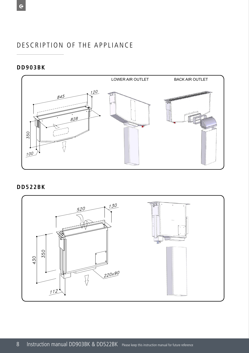#### DESCRIPTION OF THE APPLIANCE SCRIPIION OF TH **CEPTION OF THE THE APPLICATION**

## **DD903BK DD903BK**

 $\overline{c}$ 



**DD522BK DD522BK DD522BK**

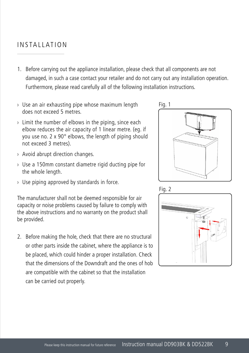## INSTALLATION

- 1. Before carrying out the appliance installation, please check that all components are not damaged, in such a case contact your retailer and do not carry out any installation operation. Furthermore, please read carefully all of the following installation instructions.
- › Use an air exhausting pipe whose maximum length does not exceed 5 metres.
- $\rightarrow$  Limit the number of elbows in the piping, since each elbow reduces the air capacity of 1 linear metre. (eg. if you use no. 2 x 90° elbows, the length of piping should not exceed 3 metres).
- › Avoid abrupt direction changes.
- › Use a 150mm constant diametre rigid ducting pipe for the whole length.
- › Use piping approved by standards in force.

The manufacturer shall not be deemed responsible for air capacity or noise problems caused by failure to comply with the above instructions and no warranty on the product shall be provided.

2. Before making the hole, check that there are no structural or other parts inside the cabinet, where the appliance is to be placed, which could hinder a proper installation. Check that the dimensions of the Downdraft and the ones of hob are compatible with the cabinet so that the installation can be carried out properly.







Fig. 3 Fig. 4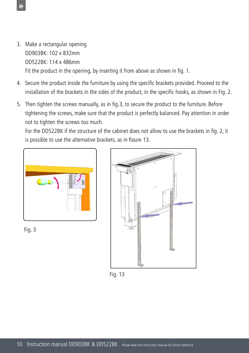- 3. Make a rectangular opening DD903BK: 102 x 832mm DD522BK: 114 x 486mm Fit the product in the opening, by inserting it from above as shown in fig. 1.
- 4. Secure the product inside the furniture by using the specific brackets provided. Proceed to the installation of the brackets in the sides of the product, in the specific hooks, as shown in Fig. 2.
- 5. Then tighten the screws manually, as in fig.3, to secure the product to the furniture. Before tightening the screws, make sure that the product is perfectly balanced. Pay attention in order not to tighten the screws too much.

is possible to use the alternative brackets. as in figure 13. For the DD522BK if the structure of the cabinet does not allow to use the brackets in fig. 2, it







Fig. 13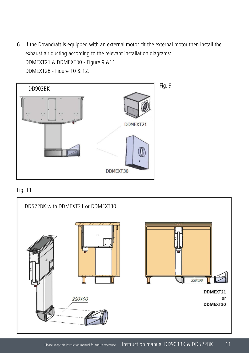6. If the Downdraft is equipped with an external motor, fit the external motor then install the exhaust air ducting according to the relevant installation diagrams: DDMEXT21 & DDMEXT30 - Figure 9 &11 DDMEXT28 - Figure 10 & 12.





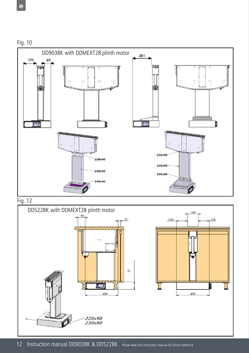



Fig. 12

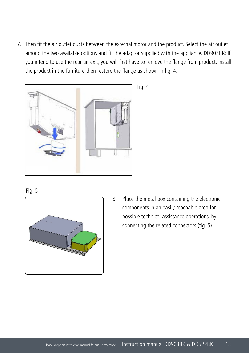7. Then fit the air outlet ducts between the external motor and the product. Select the air outlet among the two available options and fit the adaptor supplied with the appliance. DD903BK: If you intend to use the rear air exit, you will first have to remove the flange from product, install the product in the furniture then restore the flange as shown in fig. 4.



Fig. 4





8. Place the metal box containing the electronic components in an easily reachable area for possible technical assistance operations, by connecting the related connectors (fig. 5).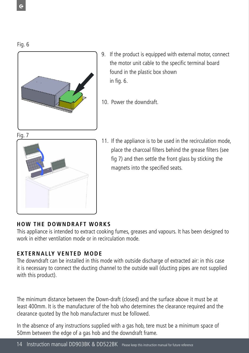Fig. 6



- 9. If the product is equipped with external motor, connect the motor unit cable to the specific terminal board found in the plastic box shown in fig. 6.
- 10. Power the downdraft.





11. If the appliance is to be used in the recirculation mode, place the charcoal filters behind the grease filters (see fig 7) and then settle the front glass by sticking the magnets into the specified seats.

### **HOW THE DOWNDRAFT WORKS**

This appliance is intended to extract cooking fumes, greases and vapours. It has been designed to work in either ventilation mode or in recirculation mode.

## **EXTERNALLY VENTED MODE**

The downdraft can be installed in this mode with outside discharge of extracted air: in this case it is necessary to connect the ducting channel to the outside wall (ducting pipes are not supplied with this product).

The minimum distance between the Down-draft (closed) and the surface above it must be at least 400mm. It is the manufacturer of the hob who determines the clearance required and the clearance quoted by the hob manufacturer must be followed.

In the absence of any instructions supplied with a gas hob, tere must be a minimum space of 50mm between the edge of a gas hob and the downdraft frame.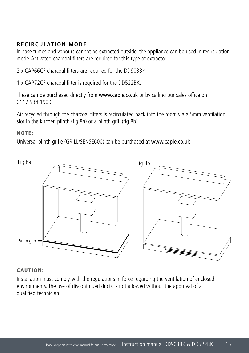### **RECIRCULATION MODE**

In case fumes and vapours cannot be extracted outside, the appliance can be used in recirculation mode. Activated charcoal filters are required for this type of extractor:

2 x CAP66CF charcoal filters are required for the DD903BK

1 x CAP72CF charcoal filter is required for the DD522BK.

These can be purchased directly from www.caple.co.uk or by calling our sales office on 0117 938 1900.

Air recycled through the charcoal filters is recirculated back into the room via a 5mm ventilation slot in the kitchen plinth (fig 8a) or a plinth grill (fig 8b).

#### NOTE:

Universal plinth grille (GRILL/SENSE600) can be purchased at www.caple.co.uk



#### CAUTION:

Installation must comply with the regulations in force regarding the ventilation of enclosed environments. The use of discontinued ducts is not allowed without the approval of a qualified technician.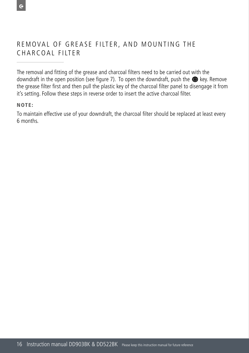#### REMOVAL OF GREASE FILTER, AND MOUNTING THE CHARCOAL FILTER close and turns of turns of turns of turns of turns of turns of turns of turns of turns of turns of turns of tu

The removal and fitting of the grease and charcoal filters need to be carried out with the downdraft in the open position (see figure 7). To open the downdraft, push the <sup>1</sup> key. Remove the grease filter first and then pull the plastic key of the charcoal filter panel to disengage it from it's setting. Follow these steps in reverse order to insert the active charcoal filter. **Fig.8**

#### NOTE:

 To maintain effective use of your downdraft, the charcoal filter should be replaced at least every 6 months.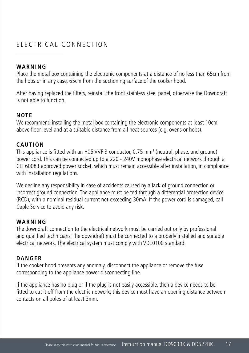# ELECTRICAL CONNECTION

#### **WARNING**

Place the metal box containing the electronic components at a distance of no less than 65cm from the hobs or in any case, 65cm from the suctioning surface of the cooker hood.

After having replaced the filters, reinstall the front stainless steel panel, otherwise the Downdraft is not able to function.

#### **NOTE**

We recommend installing the metal box containing the electronic components at least 10cm above floor level and at a suitable distance from all heat sources (e.g. ovens or hobs).

#### **CAUTION**

This appliance is fitted with an H05 VVF 3 conductor, 0.75 mm<sup>2</sup> (neutral, phase, and ground) power cord. This can be connected up to a 220 - 240V monophase electrical network through a CEI 60083 approved power socket, which must remain accessible after installation, in compliance with installation regulations.

We decline any responsibility in case of accidents caused by a lack of ground connection or incorrect ground connection. The appliance must be fed through a differential protection device (RCD), with a nominal residual current not exceeding 30mA. If the power cord is damaged, call Caple Service to avoid any risk.

#### **WARNING**

The downdraft connection to the electrical network must be carried out only by professional and qualified technicians. The downdraft must be connected to a properly installed and suitable electrical network. The electrical system must comply with VDE0100 standard.

#### **DANGER**

If the cooker hood presents any anomaly, disconnect the appliance or remove the fuse corresponding to the appliance power disconnecting line.

If the appliance has no plug or if the plug is not easily accessible, then a device needs to be fitted to cut it off from the electric network; this device must have an opening distance between contacts on all poles of at least 3mm.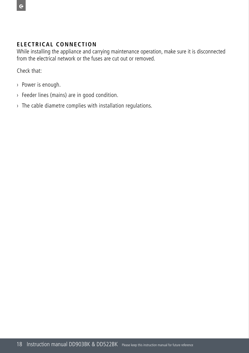#### **ELECTRICAL CONNECTION**

While installing the appliance and carrying maintenance operation, make sure it is disconnected from the electrical network or the fuses are cut out or removed.

Check that:

- › Power is enough.
- › Feeder lines (mains) are in good condition.
- › The cable diametre complies with installation regulations.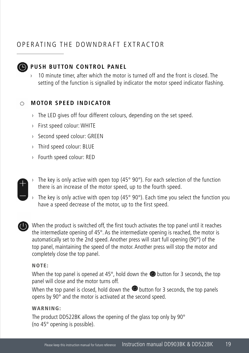#### OPERATING THE DOWNDRAFT EXTRACTOR 4th to 2nd speed, after 6 minutes operation. **Grease filters saturation**



while the extractable unit is open.

operation. Operation speeds can also be changed

If the appliance is working at 3rd speed, it is auto-

 $A_{\rm eff}$  and  $A_{\rm eff}$  indicators of operation, the speed indicators of operation, the speed indicators of  $A_{\rm eff}$ 

#### **PUSH BUTTON CONTROL PANEL** matically switched to 2nd speed, after 7 minutes **GPUSH BUTTON CONTRO**

 $\sim$  10 minute timer, after which the motor is turned off and the front is closed. The For finance time, after which the motor is tanded on and the nont is closed. The setting of the function is signalled by indicator the motor speed indicator flashing.  $\mathcal{L}$  tung

#### **DOWNDRAFTE INDICATOR**  $\mathcal{A}^{\text{max}}$  , which finds the last operation from the last  $\mathcal{A}^{\text{max}}$

- > The LED gives off four different colours, depending on the set speed. requirements, are equipped with new electronics
- **Panel System Burnale Englecity** First speed colour: WHITE After 30 hours of operation, the speed indicators **B**  $\rightarrow$  First speed colour: WHITE
- > Second speed colour: GREEN  $\overline{C}$  become speca colour. Given After 30 hours of operation, the speed indicators , becond speed colour: GREEN
- $\rightarrow$  Third speed colour: BLUE  $\ddot{\phantom{a}}$   $\ddots$   $\ddots$  at  $\ddot{\phantom{a}}$  becomposed at least 3 seconds, because 3 seconds, because 3 seconds, because 3 seconds, because 3 seconds, because 3 seconds, because 3 seconds, because 3 seconds, because 3 seconds,
- $\rightarrow$  Fourth speed colour: RED
	- > The key is only active with open top (45° 90°). For each selection of the function there is an increase of the motor speed, up to the fourth speed. e key is only active with oper op (45° 90°). For each select
	- > The key is only active with open top (45° 90°). Each time you select the function you have a speed decrease of the motor, up to the first speed. **Example only continuous operation function**  $\mathbf{r}$  and  $\mathbf{r}$  is such the product in standard of the motor, up to the first speed. op (45° 90°). Each time you



When the product is switched off, the first touch activates the top panel until it reaches the intermediate opening of 45°. As the intermediate opening is reached, the motor is automatically set to the 2nd speed. Another press will start full opening (90°) of the top panel, maintaining the speed of the motor. Another press will stop the motor and top panel, maintaining the speed of the motor. Another press will stop the motor and completely close the top panel. anel, maintaining the speed of the motor. Another press will st letely close the top panel. ched off, the first touch activates the top  $p$ 

#### NOTE: - When the top panel is closed, hold down the **E** button for 3 seconds, the top panels opens by 90°

When the top panel is opened at 45°, hold down the **@** button for 3 seconds, the top panel will close and the motor turns off.

when the top panel is closed, hold down the  $\bullet$  button for 3 seconds, the top panels opens by 90° and the motor is activated at the second speed.

#### WARNING:

The product DD522BK allows the opening of the glass top only by 90° (no 45° opening is possible).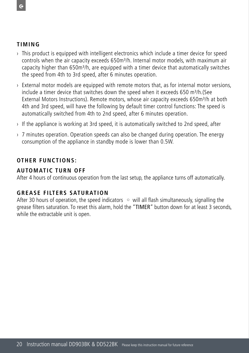#### **TIMING**

- **This product is equipped with intelligent electronics which include a timer device for speed** mate product to equipped the modify of controlled them in the detail of the reserve the products of the air capacity exceeds 650m<sup>3</sup>/h. Internal motor models, with maximum air capacity higher than 650m<sup>3</sup>/h, are equipped with a timer device that automatically switches the speed from 4th to 3rd speed, after 6 minutes operation. repped with a timer device to
- $\rightarrow$  External motor models are equipped with remote motors that, as for internal motor versions, include a timer device that switches down the speed when it exceeds 650  $\text{m3/h.}(\text{See }$ External Motors Instructions). Remote motors, whose air capacity exceeds 650m<sup>3</sup>/h at both 4th and 3rd speed, will have the following by default timer control functions: The speed is automatically switched from 4th to 2nd speed, after 6 minutes operation. vith remote motors that, as f
- $\rightarrow$  If the appliance is working at 3rd speed, it is automatically switched to 2nd speed, after
- $\rightarrow$  7 minutes operation. Operation speeds can also be changed during operation. The energy consumption of the appliance in standby mode is lower than 0.5W.

## **OTHER FUNCTIONS:**

### **AUTOMATIC TURN OFF**

After 4 hours of continuous operation from the last setup, the appliance turns off automatically.

#### **GREASE FILTERS SATURATION**

After 30 hours of operation, the speed indicators  $\circ$  will all flash simultaneously, signalling the grease filters saturation. To reset this alarm, hold the "TIMER" button down for at least 3 seconds, while the extractable unit is open. **opening of the glass top only by 90° (no 45°**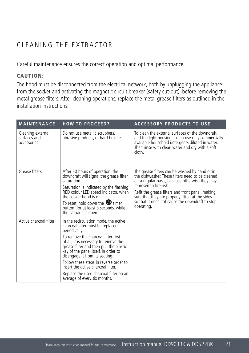#### **CLEANING THE EXTRACTOR ACTOR**

Careful maintenance ensures the correct operation and optimal performance. from 4th to 3rd speed, after 6 minutes operation.

## CAUTION:

indicator(B) flashing.

The hood must be disconnected from the electrical network, both by unplugging the appliance from the socket and activating the magnetic circuit breaker (safety cut-out), before removing the metal grease filters. After cleaning operations, replace the metal grease filters as outlined in the installation instructions.  $\bullet$  the  $\bullet$  after  $\bullet$  minutes operation.

| <b>MAINTENANCE</b>                               | <b>HOW TO PROCEED?</b>                                                                                                                                                                                                                                                                                                                                                                                                                                    | <b>ACCESSORY PRODUCTS TO USE</b>                                                                                                                                                                                                                                                                                                                       |
|--------------------------------------------------|-----------------------------------------------------------------------------------------------------------------------------------------------------------------------------------------------------------------------------------------------------------------------------------------------------------------------------------------------------------------------------------------------------------------------------------------------------------|--------------------------------------------------------------------------------------------------------------------------------------------------------------------------------------------------------------------------------------------------------------------------------------------------------------------------------------------------------|
| Cleaning external<br>surfaces and<br>accessories | Do not use metallic scrubbers,<br>abrasive products, or hard brushes.                                                                                                                                                                                                                                                                                                                                                                                     | To clean the external surfaces of the downdraft<br>and the light housing screen use only commercially<br>available household detergents diluted in water.<br>Then rinse with clean water and dry with a soft<br>cloth.                                                                                                                                 |
| Grease filters                                   | After 30 hours of operation, the<br>downdraft will signal the grease filter<br>saturation.<br>Saturation is indicated by the flashing<br>RED colour LED speed indicator, when<br>the cooker hood is off.<br>To reset, hold down the $\bullet$ timer<br>button for at least 3 seconds, while<br>the carriage is open.                                                                                                                                      | The grease filters can be washed by hand or in<br>the dishwasher. These filters need to be cleaned<br>on a regular basis, because otherwise they may<br>represent a fire risk.<br>Refit the grease filters and front panel, making<br>sure that they are properly fitted at the sides<br>so that it does not cause the downdraft to stop<br>operating. |
| Active charcoal filter                           | In the recirculation mode, the active<br>charcoal filter must be replaced<br>periodically.<br>To remove the charcoal filter first<br>of all, it is necessary to remove the<br>grease filter and then pull the plastic<br>key of the panel itself, in order to<br>disengage it from its seating.<br>Follow these steps in reverse order to<br>insert the active charcoal filter.<br>Replace the used charcoal filter on an<br>average of every six months. |                                                                                                                                                                                                                                                                                                                                                        |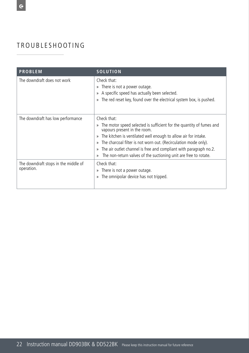# TROUBLESHOOTING

| <b>PROBLEM</b>                                     | <b>SOLUTION</b>                                                                                                                                                                                                                                                                                                                                                                                                                              |
|----------------------------------------------------|----------------------------------------------------------------------------------------------------------------------------------------------------------------------------------------------------------------------------------------------------------------------------------------------------------------------------------------------------------------------------------------------------------------------------------------------|
| The downdraft does not work                        | Check that:<br>There is not a power outage.<br>$\rangle$<br>A specific speed has actually been selected.<br>The red reset key, found over the electrical system box, is pushed.                                                                                                                                                                                                                                                              |
| The downdraft has low performance                  | Check that:<br>The motor speed selected is sufficient for the quantity of fumes and<br>vapours present in the room.<br>The kitchen is ventilated well enough to allow air for intake.<br>$\mathcal{V}$<br>The charcoal filter is not worn out. (Recirculation mode only).<br>$\gg$<br>The air outlet channel is free and compliant with paragraph no.2.<br>$\mathcal{D}$<br>The non-return valves of the suctioning unit are free to rotate. |
| The downdraft stops in the middle of<br>operation. | Check that:<br>There is not a power outage.<br>$\gg$<br>The omnipolar device has not tripped.<br>$\mathcal{V}$                                                                                                                                                                                                                                                                                                                               |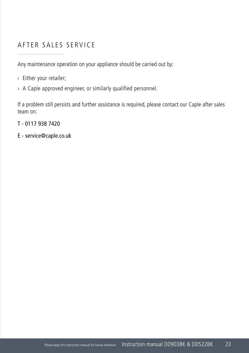# AFTER SALES SERVICE

Any maintenance operation on your appliance should be carried out by:

- › Either your retailer;
- › A Caple approved engineer, or similarly qualified personnel.

If a problem still persists and further assistance is required, please contact our Caple after sales team on:

T - 0117 938 7420

E - service@caple.co.uk